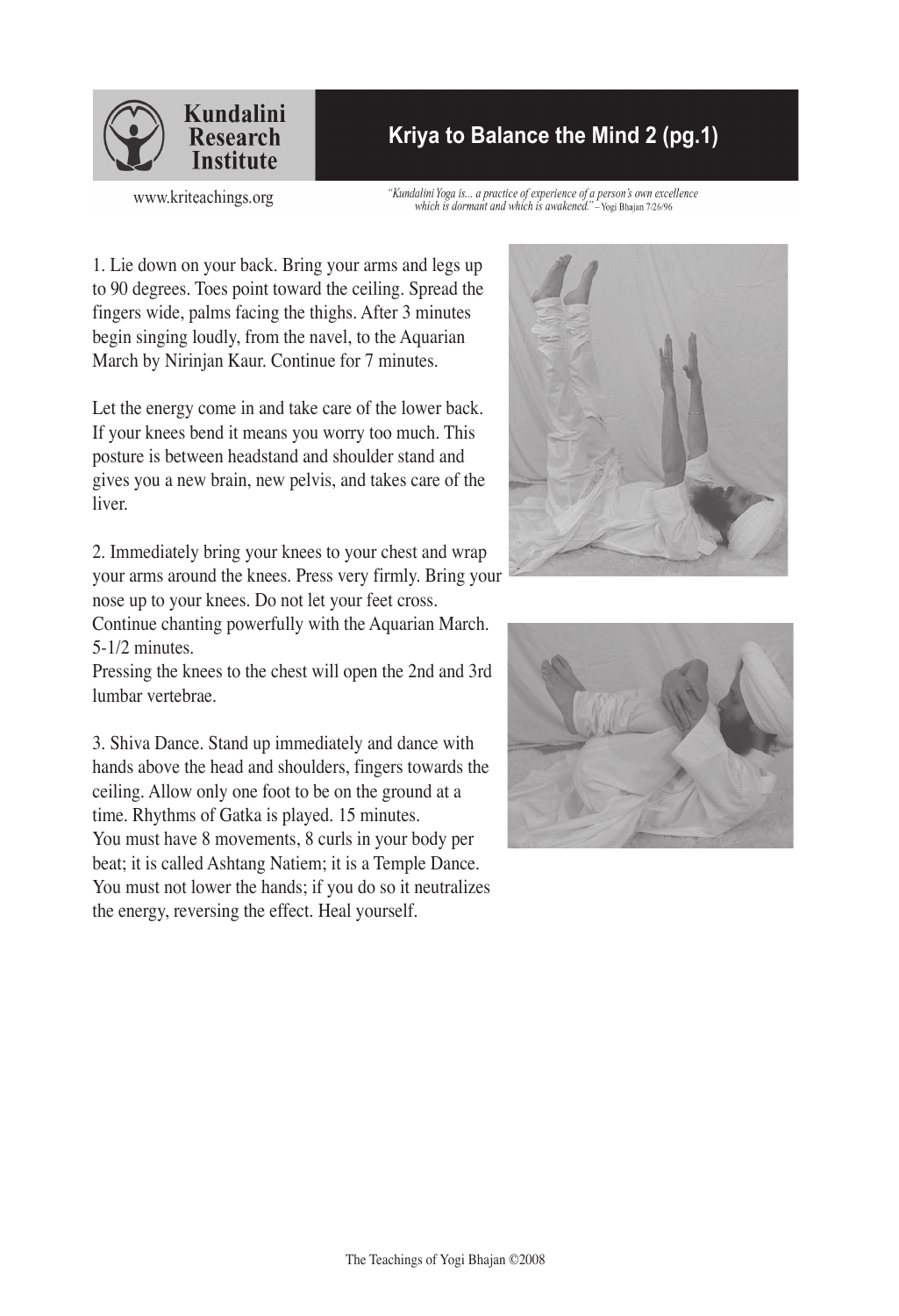

## **Kriya to Balance the Mind 2 (pg.1)**

www.kriteachings.org

"Kundalini Yoga is... a practice of experience of a person's own excellence which is dormant and which is awakened." - Yogi Bhajan 7/26/96

1. Lie down on your back. Bring your arms and legs up to 90 degrees. Toes point toward the ceiling. Spread the fingers wide, palms facing the thighs. After 3 minutes begin singing loudly, from the navel, to the Aquarian March by Nirinjan Kaur. Continue for 7 minutes.

Let the energy come in and take care of the lower back. If your knees bend it means you worry too much. This posture is between headstand and shoulder stand and gives you a new brain, new pelvis, and takes care of the liver.

2. Immediately bring your knees to your chest and wrap your arms around the knees. Press very firmly. Bring your nose up to your knees. Do not let your feet cross.

Continue chanting powerfully with the Aquarian March. 5-1/2 minutes.

Pressing the knees to the chest will open the 2nd and 3rd lumbar vertebrae.

3. Shiva Dance. Stand up immediately and dance with hands above the head and shoulders, fingers towards the ceiling. Allow only one foot to be on the ground at a time. Rhythms of Gatka is played. 15 minutes. You must have 8 movements, 8 curls in your body per beat; it is called Ashtang Natiem; it is a Temple Dance. You must not lower the hands; if you do so it neutralizes the energy, reversing the effect. Heal yourself.